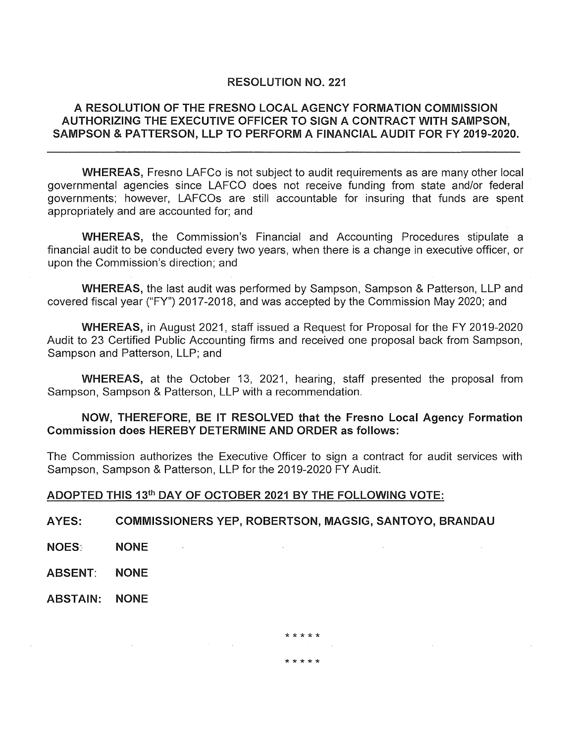### RESOLUTION NO. 221

# A RESOLUTION OF THE FRESNO LOCAL AGENCY FORMATION COMMISSION AUTHORIZING THE EXECUTIVE OFFICER TO SIGN A CONTRACT WITH SAMPSON, SAMPSON & PATTERSON, LLP TO PERFORM A FINANCIAL AUDIT FOR FY 2019-2020.

WHEREAS, Fresno LAFCo is not subject to audit requirements as are many other local governmental agencies since LAFCO does not receive funding from state and/or federal governments; however, LAFCOs are still accountable for insuring that funds are spent appropriately and are accounted for; and

WHEREAS, the Commission's Financial and Accounting Procedures stipulate a financial audit to be conducted every two years, when there is a change in executive officer, or upon the Commission's direction; and

WHEREAS, the last audit was performed by Sampson, Sampson & Patterson, LLP and covered fiscal year ("FY") 2017-2018, and was accepted by the Commission May 2020; and

WHEREAS, in August 2021, staff issued a Request for Proposal for the FY 2019-2020 Audit to 23 Certified Public Accounting firms and received one proposal back from Sampson, Sampson and Patterson, LLP; and

WHEREAS, at the October 13, 2021, hearing, staff presented the proposal from Sampson, Sampson & Patterson, LLP with a recommendation.

# NOW, THEREFORE, BE IT RESOLVED that the Fresno Local Agency Formation Commission does HEREBY DETERMINE AND ORDER as follows:

The Commission authorizes the Executive Officer to sign a contract for audit services with Sampson, Sampson & Patterson, LLP for the 2019-2020 FY Audit.

\*\*\*\*\*

\*\*\*\*\*

#### ADOPTED THIS 13th DAY OF OCTOBER 2021 BY THE FOLLOWING VOTE:

AYES: COMMISSIONERS YEP, ROBERTSON, MAGSIG, SANTOYO, BRANDAU

- NOES: NONE
- ABSENT: NONE
- ABSTAIN: NONE